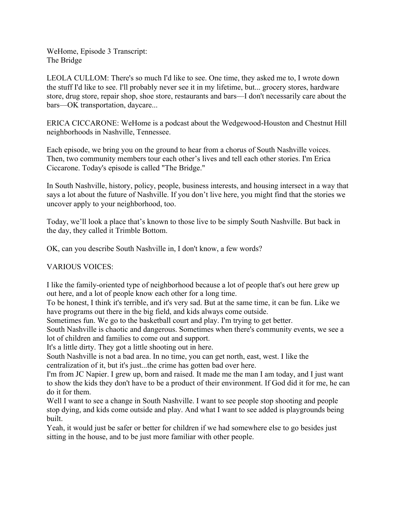WeHome, Episode 3 Transcript: The Bridge

LEOLA CULLOM: There's so much I'd like to see. One time, they asked me to, I wrote down the stuff I'd like to see. I'll probably never see it in my lifetime, but... grocery stores, hardware store, drug store, repair shop, shoe store, restaurants and bars––I don't necessarily care about the bars––OK transportation, daycare...

ERICA CICCARONE: WeHome is a podcast about the Wedgewood-Houston and Chestnut Hill neighborhoods in Nashville, Tennessee.

Each episode, we bring you on the ground to hear from a chorus of South Nashville voices. Then, two community members tour each other's lives and tell each other stories. I'm Erica Ciccarone. Today's episode is called "The Bridge."

In South Nashville, history, policy, people, business interests, and housing intersect in a way that says a lot about the future of Nashville. If you don't live here, you might find that the stories we uncover apply to your neighborhood, too.

Today, we'll look a place that's known to those live to be simply South Nashville. But back in the day, they called it Trimble Bottom.

OK, can you describe South Nashville in, I don't know, a few words?

VARIOUS VOICES:

I like the family-oriented type of neighborhood because a lot of people that's out here grew up out here, and a lot of people know each other for a long time.

To be honest, I think it's terrible, and it's very sad. But at the same time, it can be fun. Like we have programs out there in the big field, and kids always come outside.

Sometimes fun. We go to the basketball court and play. I'm trying to get better.

South Nashville is chaotic and dangerous. Sometimes when there's community events, we see a lot of children and families to come out and support.

It's a little dirty. They got a little shooting out in here.

South Nashville is not a bad area. In no time, you can get north, east, west. I like the centralization of it, but it's just...the crime has gotten bad over here.

I'm from JC Napier. I grew up, born and raised. It made me the man I am today, and I just want to show the kids they don't have to be a product of their environment. If God did it for me, he can do it for them.

Well I want to see a change in South Nashville. I want to see people stop shooting and people stop dying, and kids come outside and play. And what I want to see added is playgrounds being built.

Yeah, it would just be safer or better for children if we had somewhere else to go besides just sitting in the house, and to be just more familiar with other people.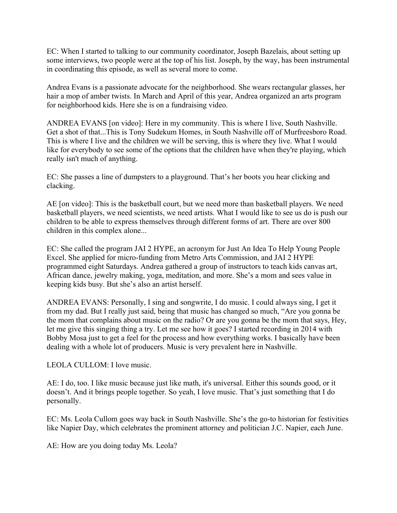EC: When I started to talking to our community coordinator, Joseph Bazelais, about setting up some interviews, two people were at the top of his list. Joseph, by the way, has been instrumental in coordinating this episode, as well as several more to come.

Andrea Evans is a passionate advocate for the neighborhood. She wears rectangular glasses, her hair a mop of amber twists. In March and April of this year, Andrea organized an arts program for neighborhood kids. Here she is on a fundraising video.

ANDREA EVANS [on video]: Here in my community. This is where I live, South Nashville. Get a shot of that...This is Tony Sudekum Homes, in South Nashville off of Murfreesboro Road. This is where I live and the children we will be serving, this is where they live. What I would like for everybody to see some of the options that the children have when they're playing, which really isn't much of anything.

EC: She passes a line of dumpsters to a playground. That's her boots you hear clicking and clacking.

AE [on video]: This is the basketball court, but we need more than basketball players. We need basketball players, we need scientists, we need artists. What I would like to see us do is push our children to be able to express themselves through different forms of art. There are over 800 children in this complex alone...

EC: She called the program JAI 2 HYPE, an acronym for Just An Idea To Help Young People Excel. She applied for micro-funding from Metro Arts Commission, and JAI 2 HYPE programmed eight Saturdays. Andrea gathered a group of instructors to teach kids canvas art, African dance, jewelry making, yoga, meditation, and more. She's a mom and sees value in keeping kids busy. But she's also an artist herself.

ANDREA EVANS: Personally, I sing and songwrite, I do music. I could always sing, I get it from my dad. But I really just said, being that music has changed so much, "Are you gonna be the mom that complains about music on the radio? Or are you gonna be the mom that says, Hey, let me give this singing thing a try. Let me see how it goes? I started recording in 2014 with Bobby Mosa just to get a feel for the process and how everything works. I basically have been dealing with a whole lot of producers. Music is very prevalent here in Nashville.

LEOLA CULLOM: I love music.

AE: I do, too. I like music because just like math, it's universal. Either this sounds good, or it doesn't. And it brings people together. So yeah, I love music. That's just something that I do personally.

EC: Ms. Leola Cullom goes way back in South Nashville. She's the go-to historian for festivities like Napier Day, which celebrates the prominent attorney and politician J.C. Napier, each June.

AE: How are you doing today Ms. Leola?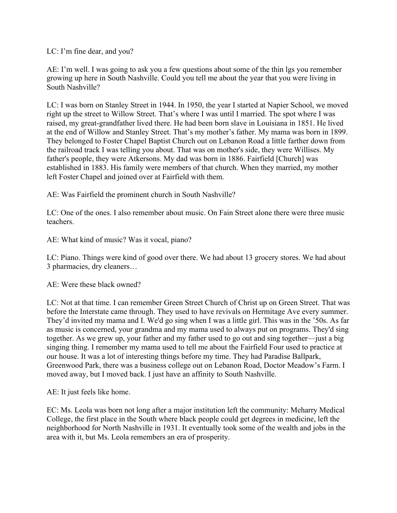LC: I'm fine dear, and you?

AE: I'm well. I was going to ask you a few questions about some of the thin lgs you remember growing up here in South Nashville. Could you tell me about the year that you were living in South Nashville?

LC: I was born on Stanley Street in 1944. In 1950, the year I started at Napier School, we moved right up the street to Willow Street. That's where I was until I married. The spot where I was raised, my great-grandfather lived there. He had been born slave in Louisiana in 1851. He lived at the end of Willow and Stanley Street. That's my mother's father. My mama was born in 1899. They belonged to Foster Chapel Baptist Church out on Lebanon Road a little farther down from the railroad track I was telling you about. That was on mother's side, they were Willises. My father's people, they were Atkersons. My dad was born in 1886. Fairfield [Church] was established in 1883. His family were members of that church. When they married, my mother left Foster Chapel and joined over at Fairfield with them.

AE: Was Fairfield the prominent church in South Nashville?

LC: One of the ones. I also remember about music. On Fain Street alone there were three music teachers.

AE: What kind of music? Was it vocal, piano?

LC: Piano. Things were kind of good over there. We had about 13 grocery stores. We had about 3 pharmacies, dry cleaners…

AE: Were these black owned?

LC: Not at that time. I can remember Green Street Church of Christ up on Green Street. That was before the Interstate came through. They used to have revivals on Hermitage Ave every summer. They'd invited my mama and I. We'd go sing when I was a little girl. This was in the '50s. As far as music is concerned, your grandma and my mama used to always put on programs. They'd sing together. As we grew up, your father and my father used to go out and sing together––just a big singing thing. I remember my mama used to tell me about the Fairfield Four used to practice at our house. It was a lot of interesting things before my time. They had Paradise Ballpark, Greenwood Park, there was a business college out on Lebanon Road, Doctor Meadow's Farm. I moved away, but I moved back. I just have an affinity to South Nashville.

AE: It just feels like home.

EC: Ms. Leola was born not long after a major institution left the community: Meharry Medical College, the first place in the South where black people could get degrees in medicine, left the neighborhood for North Nashville in 1931. It eventually took some of the wealth and jobs in the area with it, but Ms. Leola remembers an era of prosperity.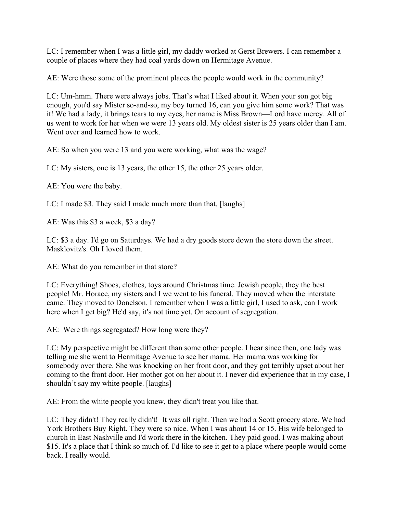LC: I remember when I was a little girl, my daddy worked at Gerst Brewers. I can remember a couple of places where they had coal yards down on Hermitage Avenue.

AE: Were those some of the prominent places the people would work in the community?

LC: Um-hmm. There were always jobs. That's what I liked about it. When your son got big enough, you'd say Mister so-and-so, my boy turned 16, can you give him some work? That was it! We had a lady, it brings tears to my eyes, her name is Miss Brown––Lord have mercy. All of us went to work for her when we were 13 years old. My oldest sister is 25 years older than I am. Went over and learned how to work.

AE: So when you were 13 and you were working, what was the wage?

LC: My sisters, one is 13 years, the other 15, the other 25 years older.

AE: You were the baby.

LC: I made \$3. They said I made much more than that. [laughs]

AE: Was this \$3 a week, \$3 a day?

LC: \$3 a day. I'd go on Saturdays. We had a dry goods store down the store down the street. Masklovitz's. Oh I loved them.

AE: What do you remember in that store?

LC: Everything! Shoes, clothes, toys around Christmas time. Jewish people, they the best people! Mr. Horace, my sisters and I we went to his funeral. They moved when the interstate came. They moved to Donelson. I remember when I was a little girl, I used to ask, can I work here when I get big? He'd say, it's not time yet. On account of segregation.

AE: Were things segregated? How long were they?

LC: My perspective might be different than some other people. I hear since then, one lady was telling me she went to Hermitage Avenue to see her mama. Her mama was working for somebody over there. She was knocking on her front door, and they got terribly upset about her coming to the front door. Her mother got on her about it. I never did experience that in my case, I shouldn't say my white people. [laughs]

AE: From the white people you knew, they didn't treat you like that.

LC: They didn't! They really didn't! It was all right. Then we had a Scott grocery store. We had York Brothers Buy Right. They were so nice. When I was about 14 or 15. His wife belonged to church in East Nashville and I'd work there in the kitchen. They paid good. I was making about \$15. It's a place that I think so much of. I'd like to see it get to a place where people would come back. I really would.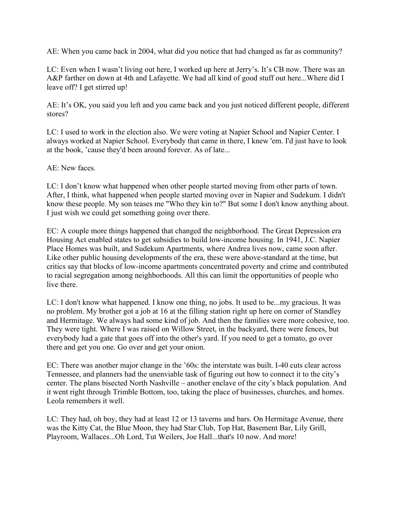AE: When you came back in 2004, what did you notice that had changed as far as community?

LC: Even when I wasn't living out here, I worked up here at Jerry's. It's CB now. There was an A&P farther on down at 4th and Lafayette. We had all kind of good stuff out here...Where did I leave off? I get stirred up!

AE: It's OK, you said you left and you came back and you just noticed different people, different stores?

LC: I used to work in the election also. We were voting at Napier School and Napier Center. I always worked at Napier School. Everybody that came in there, I knew 'em. I'd just have to look at the book, 'cause they'd been around forever. As of late...

AE: New faces.

LC: I don't know what happened when other people started moving from other parts of town. After, I think, what happened when people started moving over in Napier and Sudekum. I didn't know these people. My son teases me "Who they kin to?" But some I don't know anything about. I just wish we could get something going over there.

EC: A couple more things happened that changed the neighborhood. The Great Depression era Housing Act enabled states to get subsidies to build low-income housing. In 1941, J.C. Napier Place Homes was built, and Sudekum Apartments, where Andrea lives now, came soon after. Like other public housing developments of the era, these were above-standard at the time, but critics say that blocks of low-income apartments concentrated poverty and crime and contributed to racial segregation among neighborhoods. All this can limit the opportunities of people who live there.

LC: I don't know what happened. I know one thing, no jobs. It used to be...my gracious. It was no problem. My brother got a job at 16 at the filling station right up here on corner of Standley and Hermitage. We always had some kind of job. And then the families were more cohesive, too. They were tight. Where I was raised on Willow Street, in the backyard, there were fences, but everybody had a gate that goes off into the other's yard. If you need to get a tomato, go over there and get you one. Go over and get your onion.

EC: There was another major change in the '60s: the interstate was built. I-40 cuts clear across Tennessee, and planners had the unenviable task of figuring out how to connect it to the city's center. The plans bisected North Nashville – another enclave of the city's black population. And it went right through Trimble Bottom, too, taking the place of businesses, churches, and homes. Leola remembers it well.

LC: They had, oh boy, they had at least 12 or 13 taverns and bars. On Hermitage Avenue, there was the Kitty Cat, the Blue Moon, they had Star Club, Top Hat, Basement Bar, Lily Grill, Playroom, Wallaces...Oh Lord, Tut Weilers, Joe Hall...that's 10 now. And more!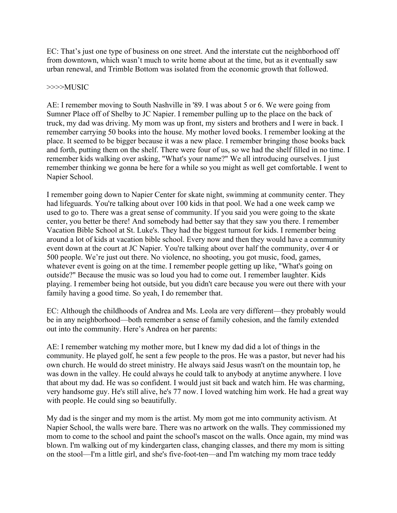EC: That's just one type of business on one street. And the interstate cut the neighborhood off from downtown, which wasn't much to write home about at the time, but as it eventually saw urban renewal, and Trimble Bottom was isolated from the economic growth that followed.

#### >>>>MUSIC

AE: I remember moving to South Nashville in '89. I was about 5 or 6. We were going from Sumner Place off of Shelby to JC Napier. I remember pulling up to the place on the back of truck, my dad was driving. My mom was up front, my sisters and brothers and I were in back. I remember carrying 50 books into the house. My mother loved books. I remember looking at the place. It seemed to be bigger because it was a new place. I remember bringing those books back and forth, putting them on the shelf. There were four of us, so we had the shelf filled in no time. I remember kids walking over asking, "What's your name?" We all introducing ourselves. I just remember thinking we gonna be here for a while so you might as well get comfortable. I went to Napier School.

I remember going down to Napier Center for skate night, swimming at community center. They had lifeguards. You're talking about over 100 kids in that pool. We had a one week camp we used to go to. There was a great sense of community. If you said you were going to the skate center, you better be there! And somebody had better say that they saw you there. I remember Vacation Bible School at St. Luke's. They had the biggest turnout for kids. I remember being around a lot of kids at vacation bible school. Every now and then they would have a community event down at the court at JC Napier. You're talking about over half the community, over 4 or 500 people. We're just out there. No violence, no shooting, you got music, food, games, whatever event is going on at the time. I remember people getting up like, "What's going on outside?" Because the music was so loud you had to come out. I remember laughter. Kids playing. I remember being hot outside, but you didn't care because you were out there with your family having a good time. So yeah, I do remember that.

EC: Although the childhoods of Andrea and Ms. Leola are very different––they probably would be in any neighborhood––both remember a sense of family cohesion, and the family extended out into the community. Here's Andrea on her parents:

AE: I remember watching my mother more, but I knew my dad did a lot of things in the community. He played golf, he sent a few people to the pros. He was a pastor, but never had his own church. He would do street ministry. He always said Jesus wasn't on the mountain top, he was down in the valley. He could always he could talk to anybody at anytime anywhere. I love that about my dad. He was so confident. I would just sit back and watch him. He was charming, very handsome guy. He's still alive, he's 77 now. I loved watching him work. He had a great way with people. He could sing so beautifully.

My dad is the singer and my mom is the artist. My mom got me into community activism. At Napier School, the walls were bare. There was no artwork on the walls. They commissioned my mom to come to the school and paint the school's mascot on the walls. Once again, my mind was blown. I'm walking out of my kindergarten class, changing classes, and there my mom is sitting on the stool––I'm a little girl, and she's five-foot-ten––and I'm watching my mom trace teddy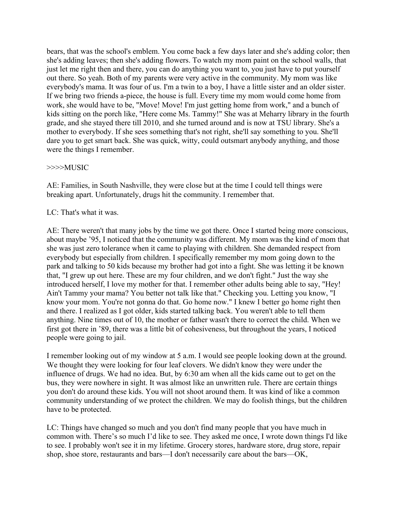bears, that was the school's emblem. You come back a few days later and she's adding color; then she's adding leaves; then she's adding flowers. To watch my mom paint on the school walls, that just let me right then and there, you can do anything you want to, you just have to put yourself out there. So yeah. Both of my parents were very active in the community. My mom was like everybody's mama. It was four of us. I'm a twin to a boy, I have a little sister and an older sister. If we bring two friends a-piece, the house is full. Every time my mom would come home from work, she would have to be, "Move! Move! I'm just getting home from work," and a bunch of kids sitting on the porch like, "Here come Ms. Tammy!" She was at Meharry library in the fourth grade, and she stayed there till 2010, and she turned around and is now at TSU library. She's a mother to everybody. If she sees something that's not right, she'll say something to you. She'll dare you to get smart back. She was quick, witty, could outsmart anybody anything, and those were the things I remember.

### >>>>MUSIC

AE: Families, in South Nashville, they were close but at the time I could tell things were breaking apart. Unfortunately, drugs hit the community. I remember that.

# LC: That's what it was.

AE: There weren't that many jobs by the time we got there. Once I started being more conscious, about maybe '95, I noticed that the community was different. My mom was the kind of mom that she was just zero tolerance when it came to playing with children. She demanded respect from everybody but especially from children. I specifically remember my mom going down to the park and talking to 50 kids because my brother had got into a fight. She was letting it be known that, "I grew up out here. These are my four children, and we don't fight." Just the way she introduced herself, I love my mother for that. I remember other adults being able to say, "Hey! Ain't Tammy your mama? You better not talk like that." Checking you. Letting you know, "I know your mom. You're not gonna do that. Go home now." I knew I better go home right then and there. I realized as I got older, kids started talking back. You weren't able to tell them anything. Nine times out of 10, the mother or father wasn't there to correct the child. When we first got there in '89, there was a little bit of cohesiveness, but throughout the years, I noticed people were going to jail.

I remember looking out of my window at 5 a.m. I would see people looking down at the ground. We thought they were looking for four leaf clovers. We didn't know they were under the influence of drugs. We had no idea. But, by 6:30 am when all the kids came out to get on the bus, they were nowhere in sight. It was almost like an unwritten rule. There are certain things you don't do around these kids. You will not shoot around them. It was kind of like a common community understanding of we protect the children. We may do foolish things, but the children have to be protected.

LC: Things have changed so much and you don't find many people that you have much in common with. There's so much I'd like to see. They asked me once, I wrote down things I'd like to see. I probably won't see it in my lifetime. Grocery stores, hardware store, drug store, repair shop, shoe store, restaurants and bars––I don't necessarily care about the bars––OK,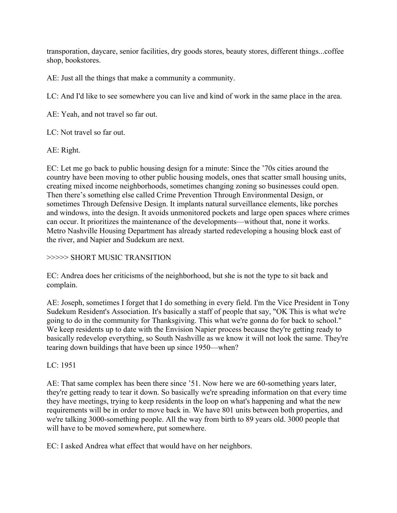transporation, daycare, senior facilities, dry goods stores, beauty stores, different things...coffee shop, bookstores.

AE: Just all the things that make a community a community.

LC: And I'd like to see somewhere you can live and kind of work in the same place in the area.

AE: Yeah, and not travel so far out.

LC: Not travel so far out.

AE: Right.

EC: Let me go back to public housing design for a minute: Since the '70s cities around the country have been moving to other public housing models, ones that scatter small housing units, creating mixed income neighborhoods, sometimes changing zoning so businesses could open. Then there's something else called Crime Prevention Through Environmental Design, or sometimes Through Defensive Design. It implants natural surveillance elements, like porches and windows, into the design. It avoids unmonitored pockets and large open spaces where crimes can occur. It prioritizes the maintenance of the developments––without that, none it works. Metro Nashville Housing Department has already started redeveloping a housing block east of the river, and Napier and Sudekum are next.

# >>>>> SHORT MUSIC TRANSITION

EC: Andrea does her criticisms of the neighborhood, but she is not the type to sit back and complain.

AE: Joseph, sometimes I forget that I do something in every field. I'm the Vice President in Tony Sudekum Resident's Association. It's basically a staff of people that say, "OK This is what we're going to do in the community for Thanksgiving. This what we're gonna do for back to school." We keep residents up to date with the Envision Napier process because they're getting ready to basically redevelop everything, so South Nashville as we know it will not look the same. They're tearing down buildings that have been up since 1950––when?

# LC: 1951

AE: That same complex has been there since '51. Now here we are 60-something years later, they're getting ready to tear it down. So basically we're spreading information on that every time they have meetings, trying to keep residents in the loop on what's happening and what the new requirements will be in order to move back in. We have 801 units between both properties, and we're talking 3000-something people. All the way from birth to 89 years old. 3000 people that will have to be moved somewhere, put somewhere.

EC: I asked Andrea what effect that would have on her neighbors.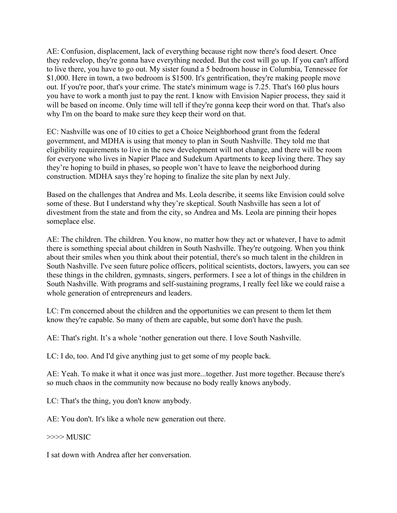AE: Confusion, displacement, lack of everything because right now there's food desert. Once they redevelop, they're gonna have everything needed. But the cost will go up. If you can't afford to live there, you have to go out. My sister found a 5 bedroom house in Columbia, Tennessee for \$1,000. Here in town, a two bedroom is \$1500. It's gentrification, they're making people move out. If you're poor, that's your crime. The state's minimum wage is 7.25. That's 160 plus hours you have to work a month just to pay the rent. I know with Envision Napier process, they said it will be based on income. Only time will tell if they're gonna keep their word on that. That's also why I'm on the board to make sure they keep their word on that.

EC: Nashville was one of 10 cities to get a Choice Neighborhood grant from the federal government, and MDHA is using that money to plan in South Nashville. They told me that eligibility requirements to live in the new development will not change, and there will be room for everyone who lives in Napier Place and Sudekum Apartments to keep living there. They say they're hoping to build in phases, so people won't have to leave the neigborhood during construction. MDHA says they're hoping to finalize the site plan by next July.

Based on the challenges that Andrea and Ms. Leola describe, it seems like Envision could solve some of these. But I understand why they're skeptical. South Nashville has seen a lot of divestment from the state and from the city, so Andrea and Ms. Leola are pinning their hopes someplace else.

AE: The children. The children. You know, no matter how they act or whatever, I have to admit there is something special about children in South Nashville. They're outgoing. When you think about their smiles when you think about their potential, there's so much talent in the children in South Nashville. I've seen future police officers, political scientists, doctors, lawyers, you can see these things in the children, gymnasts, singers, performers. I see a lot of things in the children in South Nashville. With programs and self-sustaining programs, I really feel like we could raise a whole generation of entrepreneurs and leaders.

LC: I'm concerned about the children and the opportunities we can present to them let them know they're capable. So many of them are capable, but some don't have the push.

AE: That's right. It's a whole 'nother generation out there. I love South Nashville.

LC: I do, too. And I'd give anything just to get some of my people back.

AE: Yeah. To make it what it once was just more...together. Just more together. Because there's so much chaos in the community now because no body really knows anybody.

LC: That's the thing, you don't know anybody.

AE: You don't. It's like a whole new generation out there.

>>>> MUSIC

I sat down with Andrea after her conversation.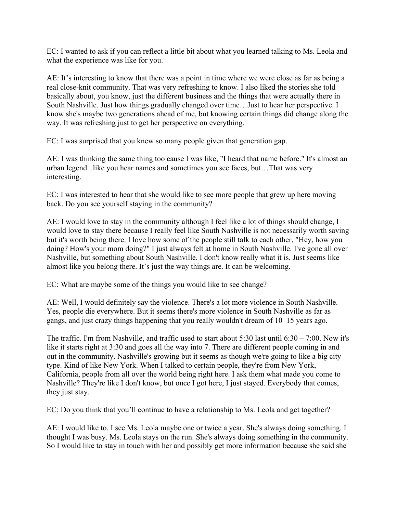EC: I wanted to ask if you can reflect a little bit about what you learned talking to Ms. Leola and what the experience was like for you.

AE: It's interesting to know that there was a point in time where we were close as far as being a real close-knit community. That was very refreshing to know. I also liked the stories she told basically about, you know, just the different business and the things that were actually there in South Nashville. Just how things gradually changed over time…Just to hear her perspective. I know she's maybe two generations ahead of me, but knowing certain things did change along the way. It was refreshing just to get her perspective on everything.

EC: I was surprised that you knew so many people given that generation gap.

AE: I was thinking the same thing too cause I was like, "I heard that name before." It's almost an urban legend...like you hear names and sometimes you see faces, but…That was very interesting.

EC: I was interested to hear that she would like to see more people that grew up here moving back. Do you see yourself staying in the community?

AE: I would love to stay in the community although I feel like a lot of things should change, I would love to stay there because I really feel like South Nashville is not necessarily worth saving but it's worth being there. I love how some of the people still talk to each other, "Hey, how you doing? How's your mom doing?" I just always felt at home in South Nashville. I've gone all over Nashville, but something about South Nashville. I don't know really what it is. Just seems like almost like you belong there. It's just the way things are. It can be welcoming.

EC: What are maybe some of the things you would like to see change?

AE: Well, I would definitely say the violence. There's a lot more violence in South Nashville. Yes, people die everywhere. But it seems there's more violence in South Nashville as far as gangs, and just crazy things happening that you really wouldn't dream of 10–15 years ago.

The traffic. I'm from Nashville, and traffic used to start about 5:30 last until 6:30 – 7:00. Now it's like it starts right at 3:30 and goes all the way into 7. There are different people coming in and out in the community. Nashville's growing but it seems as though we're going to like a big city type. Kind of like New York. When I talked to certain people, they're from New York, California, people from all over the world being right here. I ask them what made you come to Nashville? They're like I don't know, but once I got here, I just stayed. Everybody that comes, they just stay.

EC: Do you think that you'll continue to have a relationship to Ms. Leola and get together?

AE: I would like to. I see Ms. Leola maybe one or twice a year. She's always doing something. I thought I was busy. Ms. Leola stays on the run. She's always doing something in the community. So I would like to stay in touch with her and possibly get more information because she said she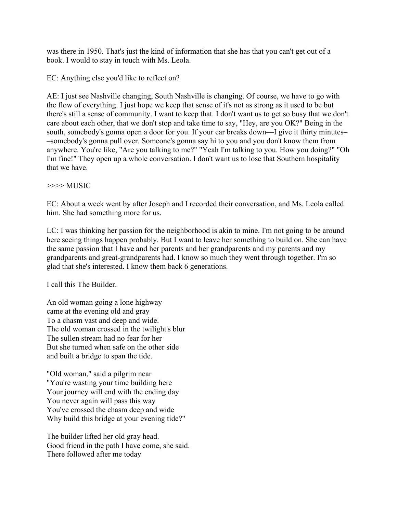was there in 1950. That's just the kind of information that she has that you can't get out of a book. I would to stay in touch with Ms. Leola.

EC: Anything else you'd like to reflect on?

AE: I just see Nashville changing, South Nashville is changing. Of course, we have to go with the flow of everything. I just hope we keep that sense of it's not as strong as it used to be but there's still a sense of community. I want to keep that. I don't want us to get so busy that we don't care about each other, that we don't stop and take time to say, "Hey, are you OK?" Being in the south, somebody's gonna open a door for you. If your car breaks down––I give it thirty minutes– –somebody's gonna pull over. Someone's gonna say hi to you and you don't know them from anywhere. You're like, "Are you talking to me?" "Yeah I'm talking to you. How you doing?" "Oh I'm fine!" They open up a whole conversation. I don't want us to lose that Southern hospitality that we have.

### >>>> MUSIC

EC: About a week went by after Joseph and I recorded their conversation, and Ms. Leola called him. She had something more for us.

LC: I was thinking her passion for the neighborhood is akin to mine. I'm not going to be around here seeing things happen probably. But I want to leave her something to build on. She can have the same passion that I have and her parents and her grandparents and my parents and my grandparents and great-grandparents had. I know so much they went through together. I'm so glad that she's interested. I know them back 6 generations.

I call this The Builder.

An old woman going a lone highway came at the evening old and gray To a chasm vast and deep and wide. The old woman crossed in the twilight's blur The sullen stream had no fear for her But she turned when safe on the other side and built a bridge to span the tide.

"Old woman," said a pilgrim near "You're wasting your time building here Your journey will end with the ending day You never again will pass this way You've crossed the chasm deep and wide Why build this bridge at your evening tide?"

The builder lifted her old gray head. Good friend in the path I have come, she said. There followed after me today